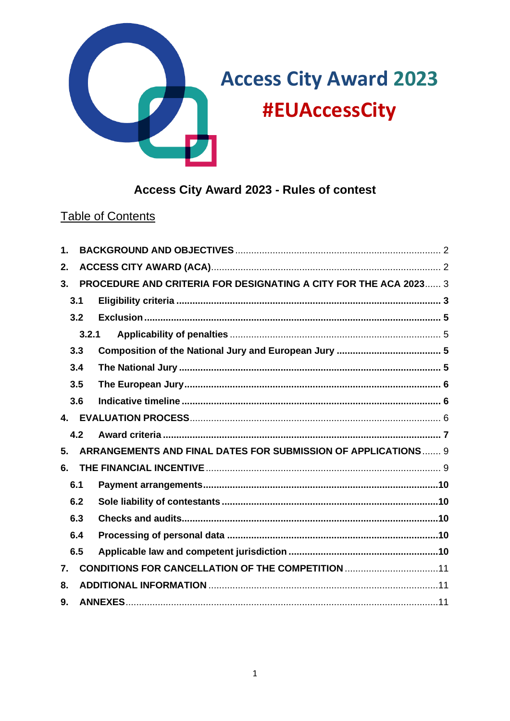

# Access City Award 2023 - Rules of contest

# **Table of Contents**

| $\mathbf 1$ .  |       |                                                                  |  |
|----------------|-------|------------------------------------------------------------------|--|
| 2.             |       |                                                                  |  |
| 3 <sub>1</sub> |       | PROCEDURE AND CRITERIA FOR DESIGNATING A CITY FOR THE ACA 2023 3 |  |
|                | 3.1   |                                                                  |  |
|                | 3.2   |                                                                  |  |
|                | 3.2.1 |                                                                  |  |
|                | 3.3   |                                                                  |  |
|                | 3.4   |                                                                  |  |
|                | 3.5   |                                                                  |  |
|                | 3.6   |                                                                  |  |
| $\mathbf{4}$   |       |                                                                  |  |
|                | 4.2   |                                                                  |  |
| 5.             |       | ARRANGEMENTS AND FINAL DATES FOR SUBMISSION OF APPLICATIONS 9    |  |
| 6.             |       |                                                                  |  |
|                | 6.1   |                                                                  |  |
|                | 6.2   |                                                                  |  |
|                | 6.3   |                                                                  |  |
|                | 6.4   |                                                                  |  |
|                | 6.5   |                                                                  |  |
| 7.             |       | <b>CONDITIONS FOR CANCELLATION OF THE COMPETITION 11</b>         |  |
| 8.             |       |                                                                  |  |
| 9.             |       |                                                                  |  |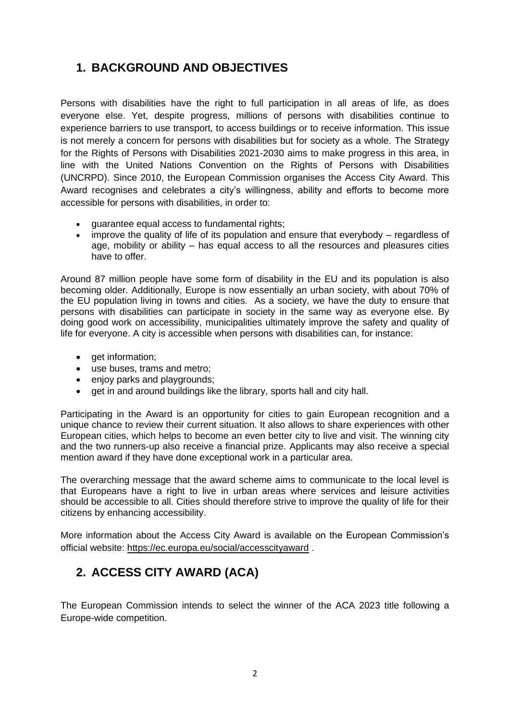## <span id="page-1-0"></span>**1. BACKGROUND AND OBJECTIVES**

Persons with disabilities have the right to full participation in all areas of life, as does everyone else. Yet, despite progress, millions of persons with disabilities continue to experience barriers to use transport, to access buildings or to receive information. This issue is not merely a concern for persons with disabilities but for society as a whole. The Strategy for the Rights of Persons with Disabilities 2021-2030 aims to make progress in this area, in line with the United Nations Convention on the Rights of Persons with Disabilities (UNCRPD). Since 2010, the European Commission organises the Access City Award. This Award recognises and celebrates a city's willingness, ability and efforts to become more accessible for persons with disabilities, in order to:

- quarantee equal access to fundamental rights;
- improve the quality of life of its population and ensure that everybody regardless of age, mobility or ability – has equal access to all the resources and pleasures cities have to offer.

Around 87 million people have some form of disability in the EU and its population is also becoming older. Additionally, Europe is now essentially an urban society, with about 70% of the EU population living in towns and cities. As a society, we have the duty to ensure that persons with disabilities can participate in society in the same way as everyone else. By doing good work on accessibility, municipalities ultimately improve the safety and quality of life for everyone. A city is accessible when persons with disabilities can, for instance:

- get information;
- use buses, trams and metro;
- enjoy parks and playgrounds;
- get in and around buildings like the library, sports hall and city hall.

Participating in the Award is an opportunity for cities to gain European recognition and a unique chance to review their current situation. It also allows to share experiences with other European cities, which helps to become an even better city to live and visit. The winning city and the two runners-up also receive a financial prize. Applicants may also receive a special mention award if they have done exceptional work in a particular area.

The overarching message that the award scheme aims to communicate to the local level is that Europeans have a right to live in urban areas where services and leisure activities should be accessible to all. Cities should therefore strive to improve the quality of life for their citizens by enhancing accessibility.

More information about the Access City Award is available on the European Commission's official website: <https://ec.europa.eu/social/accesscityaward> .

## <span id="page-1-1"></span>**2. ACCESS CITY AWARD (ACA)**

The European Commission intends to select the winner of the ACA 2023 title following a Europe-wide competition.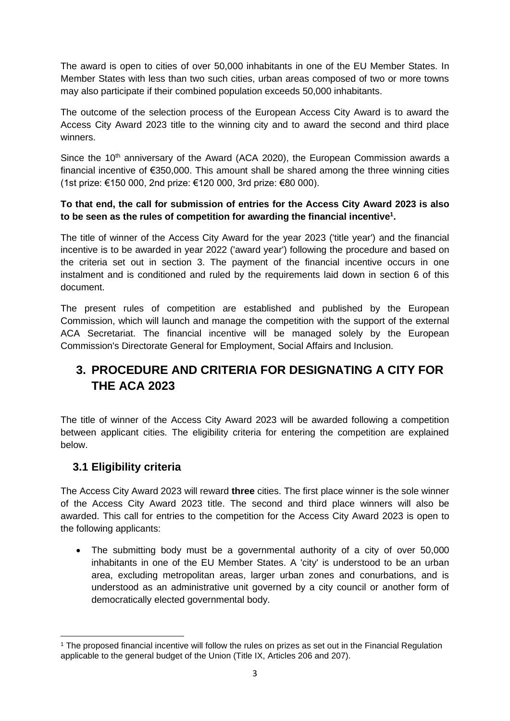The award is open to cities of over 50,000 inhabitants in one of the EU Member States. In Member States with less than two such cities, urban areas composed of two or more towns may also participate if their combined population exceeds 50,000 inhabitants.

The outcome of the selection process of the European Access City Award is to award the Access City Award 2023 title to the winning city and to award the second and third place winners.

Since the 10<sup>th</sup> anniversary of the Award (ACA 2020), the European Commission awards a financial incentive of €350,000. This amount shall be shared among the three winning cities (1st prize: €150 000, 2nd prize: €120 000, 3rd prize: €80 000).

#### **To that end, the call for submission of entries for the Access City Award 2023 is also to be seen as the rules of competition for awarding the financial incentive<sup>1</sup> .**

The title of winner of the Access City Award for the year 2023 ('title year') and the financial incentive is to be awarded in year 2022 ('award year') following the procedure and based on the criteria set out in section 3. The payment of the financial incentive occurs in one instalment and is conditioned and ruled by the requirements laid down in section 6 of this document.

The present rules of competition are established and published by the European Commission, which will launch and manage the competition with the support of the external ACA Secretariat. The financial incentive will be managed solely by the European Commission's Directorate General for Employment, Social Affairs and Inclusion.

# <span id="page-2-0"></span>**3. PROCEDURE AND CRITERIA FOR DESIGNATING A CITY FOR THE ACA 2023**

The title of winner of the Access City Award 2023 will be awarded following a competition between applicant cities. The eligibility criteria for entering the competition are explained below.

### <span id="page-2-1"></span>**3.1 Eligibility criteria**

The Access City Award 2023 will reward **three** cities. The first place winner is the sole winner of the Access City Award 2023 title. The second and third place winners will also be awarded. This call for entries to the competition for the Access City Award 2023 is open to the following applicants:

• The submitting body must be a governmental authority of a city of over 50,000 inhabitants in one of the EU Member States. A 'city' is understood to be an urban area, excluding metropolitan areas, larger urban zones and conurbations, and is understood as an administrative unit governed by a city council or another form of democratically elected governmental body.

<sup>1</sup> The proposed financial incentive will follow the rules on prizes as set out in the Financial Regulation applicable to the general budget of the Union (Title IX, Articles 206 and 207).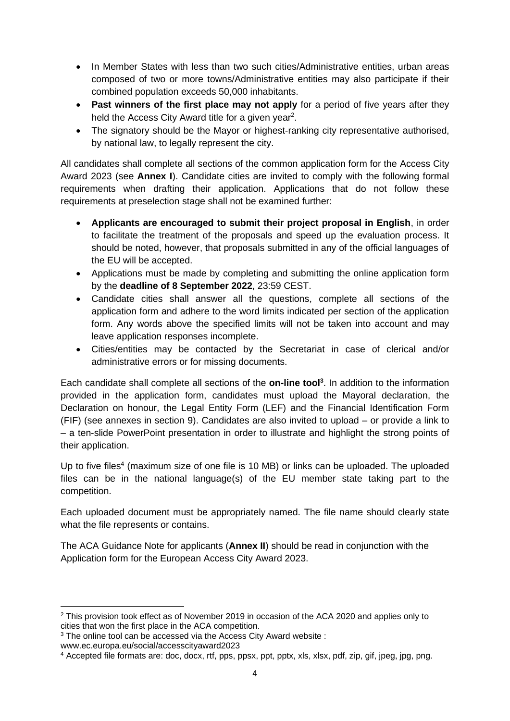- In Member States with less than two such cities/Administrative entities, urban areas composed of two or more towns/Administrative entities may also participate if their combined population exceeds 50,000 inhabitants.
- **Past winners of the first place may not apply** for a period of five years after they held the Access City Award title for a given year<sup>2</sup>.
- The signatory should be the Mayor or highest-ranking city representative authorised. by national law, to legally represent the city.

All candidates shall complete all sections of the common application form for the Access City Award 2023 (see **Annex I**). Candidate cities are invited to comply with the following formal requirements when drafting their application. Applications that do not follow these requirements at preselection stage shall not be examined further:

- **Applicants are encouraged to submit their project proposal in English**, in order to facilitate the treatment of the proposals and speed up the evaluation process. It should be noted, however, that proposals submitted in any of the official languages of the EU will be accepted.
- Applications must be made by completing and submitting the online application form by the **deadline of 8 September 2022**, 23:59 CEST.
- Candidate cities shall answer all the questions, complete all sections of the application form and adhere to the word limits indicated per section of the application form. Any words above the specified limits will not be taken into account and may leave application responses incomplete.
- Cities/entities may be contacted by the Secretariat in case of clerical and/or administrative errors or for missing documents.

Each candidate shall complete all sections of the **on-line tool<sup>3</sup>** . In addition to the information provided in the application form, candidates must upload the Mayoral declaration, the Declaration on honour, the Legal Entity Form (LEF) and the Financial Identification Form (FIF) (see annexes in section 9). Candidates are also invited to upload – or provide a link to – a ten-slide PowerPoint presentation in order to illustrate and highlight the strong points of their application.

Up to five files<sup>4</sup> (maximum size of one file is 10 MB) or links can be uploaded. The uploaded files can be in the national language(s) of the EU member state taking part to the competition.

Each uploaded document must be appropriately named. The file name should clearly state what the file represents or contains.

The ACA Guidance Note for applicants (**Annex II**) should be read in conjunction with the Application form for the European Access City Award 2023.

<sup>2</sup> This provision took effect as of November 2019 in occasion of the ACA 2020 and applies only to cities that won the first place in the ACA competition.

<sup>&</sup>lt;sup>3</sup> The online tool can be accessed via the Access City Award website :

www.ec.europa.eu/social/accesscityaward2023

<sup>4</sup> Accepted file formats are: doc, docx, rtf, pps, ppsx, ppt, pptx, xls, xlsx, pdf, zip, gif, jpeg, jpg, png.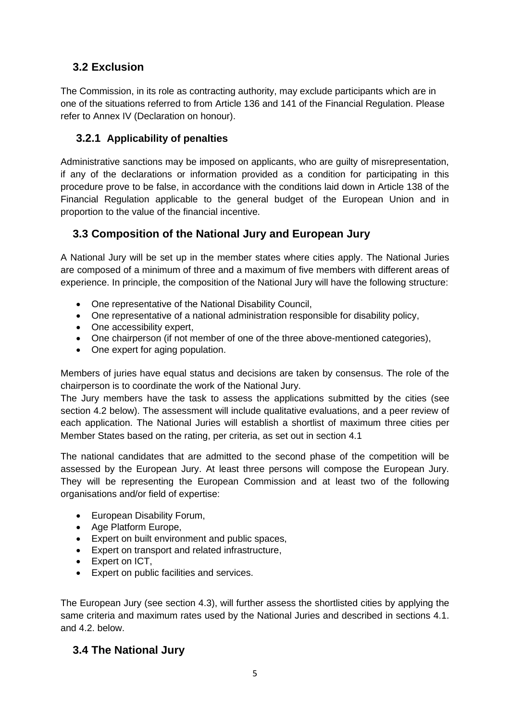## <span id="page-4-0"></span>**3.2 Exclusion**

The Commission, in its role as contracting authority, may exclude participants which are in one of the situations referred to from Article 136 and 141 of the Financial Regulation. Please refer to Annex IV (Declaration on honour).

### <span id="page-4-1"></span>**3.2.1 Applicability of penalties**

Administrative sanctions may be imposed on applicants, who are guilty of misrepresentation, if any of the declarations or information provided as a condition for participating in this procedure prove to be false, in accordance with the conditions laid down in Article 138 of the Financial Regulation applicable to the general budget of the European Union and in proportion to the value of the financial incentive.

### <span id="page-4-2"></span>**3.3 Composition of the National Jury and European Jury**

A National Jury will be set up in the member states where cities apply. The National Juries are composed of a minimum of three and a maximum of five members with different areas of experience. In principle, the composition of the National Jury will have the following structure:

- One representative of the National Disability Council,
- One representative of a national administration responsible for disability policy,
- One accessibility expert,
- One chairperson (if not member of one of the three above-mentioned categories),
- One expert for aging population.

Members of juries have equal status and decisions are taken by consensus. The role of the chairperson is to coordinate the work of the National Jury.

The Jury members have the task to assess the applications submitted by the cities (see section 4.2 below). The assessment will include qualitative evaluations, and a peer review of each application. The National Juries will establish a shortlist of maximum three cities per Member States based on the rating, per criteria, as set out in section 4.1

The national candidates that are admitted to the second phase of the competition will be assessed by the European Jury. At least three persons will compose the European Jury. They will be representing the European Commission and at least two of the following organisations and/or field of expertise:

- European Disability Forum,
- Age Platform Europe,
- Expert on built environment and public spaces,
- Expert on transport and related infrastructure,
- Expert on ICT,
- Expert on public facilities and services.

The European Jury (see section 4.3), will further assess the shortlisted cities by applying the same criteria and maximum rates used by the National Juries and described in sections 4.1. and 4.2. below.

#### <span id="page-4-3"></span>**3.4 The National Jury**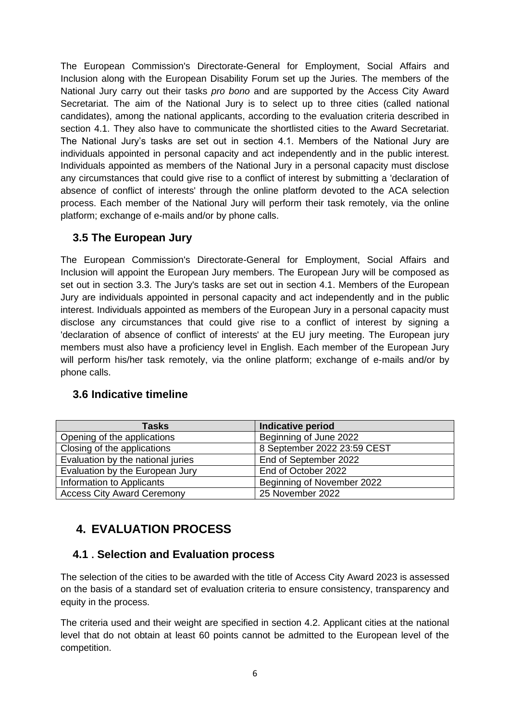The European Commission's Directorate-General for Employment, Social Affairs and Inclusion along with the European Disability Forum set up the Juries. The members of the National Jury carry out their tasks *pro bono* and are supported by the Access City Award Secretariat. The aim of the National Jury is to select up to three cities (called national candidates), among the national applicants, according to the evaluation criteria described in section 4.1. They also have to communicate the shortlisted cities to the Award Secretariat. The National Jury's tasks are set out in section 4.1. Members of the National Jury are individuals appointed in personal capacity and act independently and in the public interest. Individuals appointed as members of the National Jury in a personal capacity must disclose any circumstances that could give rise to a conflict of interest by submitting a 'declaration of absence of conflict of interests' through the online platform devoted to the ACA selection process. Each member of the National Jury will perform their task remotely, via the online platform; exchange of e-mails and/or by phone calls.

### <span id="page-5-0"></span>**3.5 The European Jury**

The European Commission's Directorate-General for Employment, Social Affairs and Inclusion will appoint the European Jury members. The European Jury will be composed as set out in section 3.3. The Jury's tasks are set out in section 4.1. Members of the European Jury are individuals appointed in personal capacity and act independently and in the public interest. Individuals appointed as members of the European Jury in a personal capacity must disclose any circumstances that could give rise to a conflict of interest by signing a 'declaration of absence of conflict of interests' at the EU jury meeting. The European jury members must also have a proficiency level in English. Each member of the European Jury will perform his/her task remotely, via the online platform; exchange of e-mails and/or by phone calls.

#### <span id="page-5-1"></span>**3.6 Indicative timeline**

| Tasks                             | Indicative period           |
|-----------------------------------|-----------------------------|
| Opening of the applications       | Beginning of June 2022      |
| Closing of the applications       | 8 September 2022 23:59 CEST |
| Evaluation by the national juries | End of September 2022       |
| Evaluation by the European Jury   | End of October 2022         |
| Information to Applicants         | Beginning of November 2022  |
| <b>Access City Award Ceremony</b> | 25 November 2022            |

# <span id="page-5-2"></span>**4. EVALUATION PROCESS**

### **4.1 . Selection and Evaluation process**

The selection of the cities to be awarded with the title of Access City Award 2023 is assessed on the basis of a standard set of evaluation criteria to ensure consistency, transparency and equity in the process.

The criteria used and their weight are specified in section 4.2. Applicant cities at the national level that do not obtain at least 60 points cannot be admitted to the European level of the competition.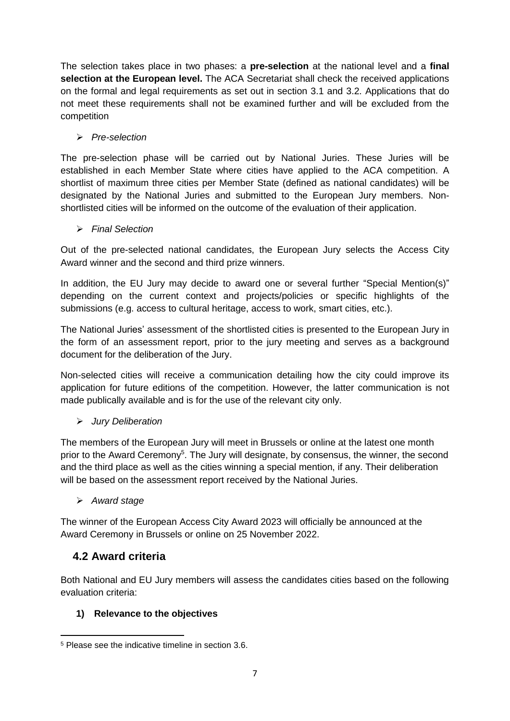The selection takes place in two phases: a **pre-selection** at the national level and a **final selection at the European level.** The ACA Secretariat shall check the received applications on the formal and legal requirements as set out in section 3.1 and 3.2. Applications that do not meet these requirements shall not be examined further and will be excluded from the competition

#### ➢ *Pre-selection*

The pre-selection phase will be carried out by National Juries. These Juries will be established in each Member State where cities have applied to the ACA competition. A shortlist of maximum three cities per Member State (defined as national candidates) will be designated by the National Juries and submitted to the European Jury members. Nonshortlisted cities will be informed on the outcome of the evaluation of their application.

#### ➢ *Final Selection*

Out of the pre-selected national candidates, the European Jury selects the Access City Award winner and the second and third prize winners.

In addition, the EU Jury may decide to award one or several further "Special Mention(s)" depending on the current context and projects/policies or specific highlights of the submissions (e.g. access to cultural heritage, access to work, smart cities, etc.).

The National Juries' assessment of the shortlisted cities is presented to the European Jury in the form of an assessment report, prior to the jury meeting and serves as a background document for the deliberation of the Jury.

Non-selected cities will receive a communication detailing how the city could improve its application for future editions of the competition. However, the latter communication is not made publically available and is for the use of the relevant city only.

#### ➢ *Jury Deliberation*

The members of the European Jury will meet in Brussels or online at the latest one month prior to the Award Ceremony<sup>5</sup>. The Jury will designate, by consensus, the winner, the second and the third place as well as the cities winning a special mention, if any. Their deliberation will be based on the assessment report received by the National Juries.

#### ➢ *Award stage*

The winner of the European Access City Award 2023 will officially be announced at the Award Ceremony in Brussels or online on 25 November 2022.

### <span id="page-6-0"></span>**4.2 Award criteria**

Both National and EU Jury members will assess the candidates cities based on the following evaluation criteria:

#### **1) Relevance to the objectives**

<sup>5</sup> Please see the indicative timeline in section 3.6.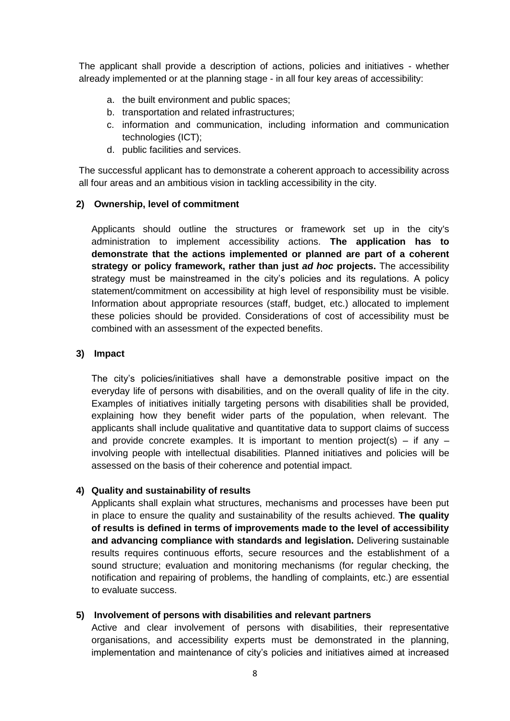The applicant shall provide a description of actions, policies and initiatives - whether already implemented or at the planning stage - in all four key areas of accessibility:

- a. the built environment and public spaces;
- b. transportation and related infrastructures;
- c. information and communication, including information and communication technologies (ICT);
- d. public facilities and services.

The successful applicant has to demonstrate a coherent approach to accessibility across all four areas and an ambitious vision in tackling accessibility in the city.

#### **2) Ownership, level of commitment**

Applicants should outline the structures or framework set up in the city's administration to implement accessibility actions. **The application has to demonstrate that the actions implemented or planned are part of a coherent strategy or policy framework, rather than just** *ad hoc* **projects.** The accessibility strategy must be mainstreamed in the city's policies and its regulations. A policy statement/commitment on accessibility at high level of responsibility must be visible. Information about appropriate resources (staff, budget, etc.) allocated to implement these policies should be provided. Considerations of cost of accessibility must be combined with an assessment of the expected benefits.

#### **3) Impact**

The city's policies/initiatives shall have a demonstrable positive impact on the everyday life of persons with disabilities, and on the overall quality of life in the city. Examples of initiatives initially targeting persons with disabilities shall be provided, explaining how they benefit wider parts of the population, when relevant. The applicants shall include qualitative and quantitative data to support claims of success and provide concrete examples. It is important to mention project(s) – if any  $$ involving people with intellectual disabilities. Planned initiatives and policies will be assessed on the basis of their coherence and potential impact.

#### **4) Quality and sustainability of results**

Applicants shall explain what structures, mechanisms and processes have been put in place to ensure the quality and sustainability of the results achieved. **The quality of results is defined in terms of improvements made to the level of accessibility and advancing compliance with standards and legislation.** Delivering sustainable results requires continuous efforts, secure resources and the establishment of a sound structure; evaluation and monitoring mechanisms (for regular checking, the notification and repairing of problems, the handling of complaints, etc.) are essential to evaluate success.

#### **5) Involvement of persons with disabilities and relevant partners**

Active and clear involvement of persons with disabilities, their representative organisations, and accessibility experts must be demonstrated in the planning, implementation and maintenance of city's policies and initiatives aimed at increased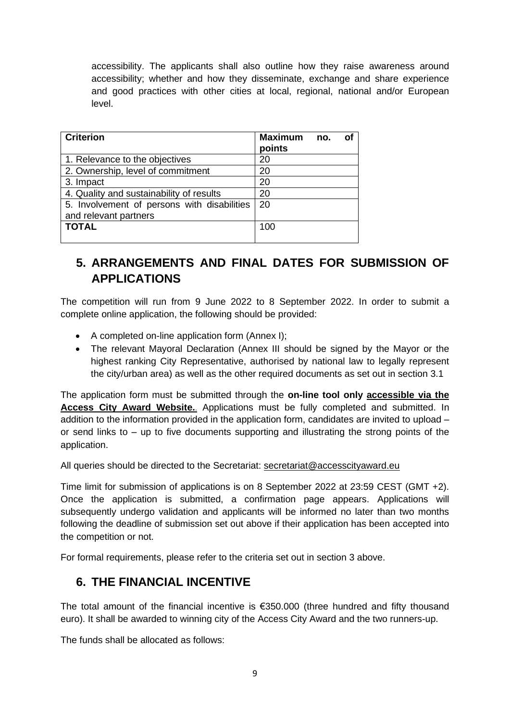accessibility. The applicants shall also outline how they raise awareness around accessibility; whether and how they disseminate, exchange and share experience and good practices with other cities at local, regional, national and/or European level.

| <b>Criterion</b>                            | Maximum no.<br>points | οf |
|---------------------------------------------|-----------------------|----|
| 1. Relevance to the objectives              | 20                    |    |
| 2. Ownership, level of commitment           | 20                    |    |
| 3. Impact                                   | 20                    |    |
| 4. Quality and sustainability of results    | 20                    |    |
| 5. Involvement of persons with disabilities | -20                   |    |
| and relevant partners                       |                       |    |
| <b>TOTAL</b>                                | 100                   |    |

# <span id="page-8-0"></span>**5. ARRANGEMENTS AND FINAL DATES FOR SUBMISSION OF APPLICATIONS**

The competition will run from 9 June 2022 to 8 September 2022. In order to submit a complete online application, the following should be provided:

- A completed on-line application form (Annex I);
- The relevant Mayoral Declaration (Annex III should be signed by the Mayor or the highest ranking City Representative, authorised by national law to legally represent the city/urban area) as well as the other required documents as set out in section 3.1

The application form must be submitted through the **on-line tool only [accessible via the](http://www.ec.europa.eu/social/accesscityaward)  [Access City Award Website.](http://www.ec.europa.eu/social/accesscityaward)**. Applications must be fully completed and submitted. In addition to the information provided in the application form, candidates are invited to upload – or send links to – up to five documents supporting and illustrating the strong points of the application.

All queries should be directed to the Secretariat: [secretariat@accesscityaward.eu](mailto:secretariat@accesscityaward.eu)

Time limit for submission of applications is on 8 September 2022 at 23:59 CEST (GMT +2). Once the application is submitted, a confirmation page appears. Applications will subsequently undergo validation and applicants will be informed no later than two months following the deadline of submission set out above if their application has been accepted into the competition or not.

For formal requirements, please refer to the criteria set out in section 3 above.

## <span id="page-8-1"></span>**6. THE FINANCIAL INCENTIVE**

The total amount of the financial incentive is  $€350.000$  (three hundred and fifty thousand euro). It shall be awarded to winning city of the Access City Award and the two runners-up.

The funds shall be allocated as follows: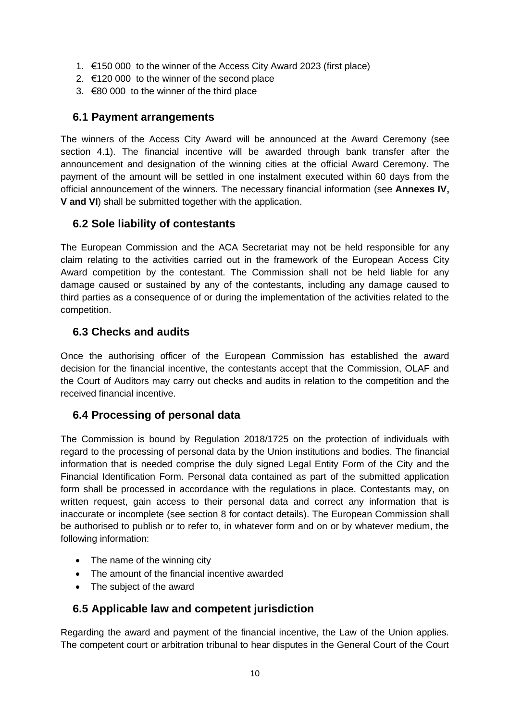- 1. €150 000 to the winner of the Access City Award 2023 (first place)
- 2. €120 000 to the winner of the second place
- 3. €80 000 to the winner of the third place

### <span id="page-9-0"></span>**6.1 Payment arrangements**

The winners of the Access City Award will be announced at the Award Ceremony (see section 4.1). The financial incentive will be awarded through bank transfer after the announcement and designation of the winning cities at the official Award Ceremony. The payment of the amount will be settled in one instalment executed within 60 days from the official announcement of the winners. The necessary financial information (see **Annexes IV, V and VI**) shall be submitted together with the application.

### <span id="page-9-1"></span>**6.2 Sole liability of contestants**

The European Commission and the ACA Secretariat may not be held responsible for any claim relating to the activities carried out in the framework of the European Access City Award competition by the contestant. The Commission shall not be held liable for any damage caused or sustained by any of the contestants, including any damage caused to third parties as a consequence of or during the implementation of the activities related to the competition.

### <span id="page-9-2"></span>**6.3 Checks and audits**

Once the authorising officer of the European Commission has established the award decision for the financial incentive, the contestants accept that the Commission, OLAF and the Court of Auditors may carry out checks and audits in relation to the competition and the received financial incentive.

### <span id="page-9-3"></span>**6.4 Processing of personal data**

The Commission is bound by Regulation 2018/1725 on the protection of individuals with regard to the processing of personal data by the Union institutions and bodies. The financial information that is needed comprise the duly signed Legal Entity Form of the City and the Financial Identification Form. Personal data contained as part of the submitted application form shall be processed in accordance with the regulations in place. Contestants may, on written request, gain access to their personal data and correct any information that is inaccurate or incomplete (see section 8 for contact details). The European Commission shall be authorised to publish or to refer to, in whatever form and on or by whatever medium, the following information:

- The name of the winning city
- The amount of the financial incentive awarded
- The subject of the award

#### <span id="page-9-4"></span>**6.5 Applicable law and competent jurisdiction**

Regarding the award and payment of the financial incentive, the Law of the Union applies. The competent court or arbitration tribunal to hear disputes in the General Court of the Court